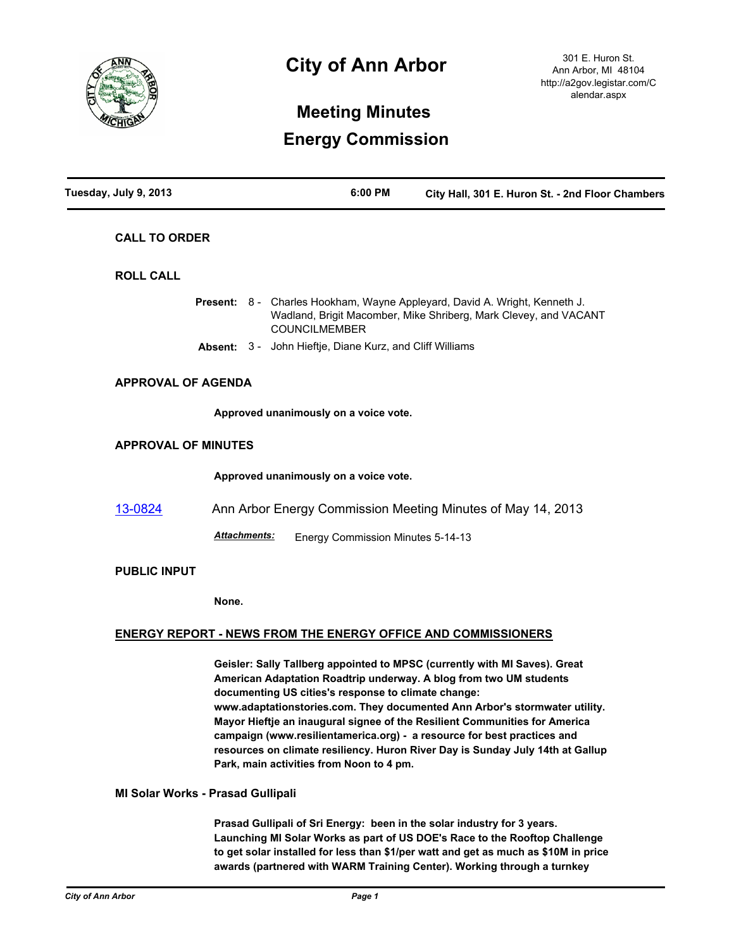

# **City of Ann Arbor**

301 E. Huron St. Ann Arbor, MI 48104 http://a2gov.legistar.com/C alendar.aspx

## **Meeting Minutes Energy Commission**

| Tuesday, July 9, 2013      | 6:00 PM                                                                                                                                                                                                                                                                                                                                                                                                                                                                                                                                                                      | City Hall, 301 E. Huron St. - 2nd Floor Chambers                 |
|----------------------------|------------------------------------------------------------------------------------------------------------------------------------------------------------------------------------------------------------------------------------------------------------------------------------------------------------------------------------------------------------------------------------------------------------------------------------------------------------------------------------------------------------------------------------------------------------------------------|------------------------------------------------------------------|
| <b>CALL TO ORDER</b>       |                                                                                                                                                                                                                                                                                                                                                                                                                                                                                                                                                                              |                                                                  |
| <b>ROLL CALL</b>           |                                                                                                                                                                                                                                                                                                                                                                                                                                                                                                                                                                              |                                                                  |
|                            | Present: 8 - Charles Hookham, Wayne Appleyard, David A. Wright, Kenneth J.<br><b>COUNCILMEMBER</b>                                                                                                                                                                                                                                                                                                                                                                                                                                                                           | Wadland, Brigit Macomber, Mike Shriberg, Mark Clevey, and VACANT |
|                            | Absent: 3 - John Hieftje, Diane Kurz, and Cliff Williams                                                                                                                                                                                                                                                                                                                                                                                                                                                                                                                     |                                                                  |
| <b>APPROVAL OF AGENDA</b>  |                                                                                                                                                                                                                                                                                                                                                                                                                                                                                                                                                                              |                                                                  |
|                            | Approved unanimously on a voice vote.                                                                                                                                                                                                                                                                                                                                                                                                                                                                                                                                        |                                                                  |
| <b>APPROVAL OF MINUTES</b> |                                                                                                                                                                                                                                                                                                                                                                                                                                                                                                                                                                              |                                                                  |
|                            | Approved unanimously on a voice vote.                                                                                                                                                                                                                                                                                                                                                                                                                                                                                                                                        |                                                                  |
| 13-0824                    | Ann Arbor Energy Commission Meeting Minutes of May 14, 2013                                                                                                                                                                                                                                                                                                                                                                                                                                                                                                                  |                                                                  |
|                            | <u> Attachments:</u><br>Energy Commission Minutes 5-14-13                                                                                                                                                                                                                                                                                                                                                                                                                                                                                                                    |                                                                  |
| <b>PUBLIC INPUT</b>        |                                                                                                                                                                                                                                                                                                                                                                                                                                                                                                                                                                              |                                                                  |
|                            | None.                                                                                                                                                                                                                                                                                                                                                                                                                                                                                                                                                                        |                                                                  |
|                            | <b>ENERGY REPORT - NEWS FROM THE ENERGY OFFICE AND COMMISSIONERS</b>                                                                                                                                                                                                                                                                                                                                                                                                                                                                                                         |                                                                  |
|                            | Geisler: Sally Tallberg appointed to MPSC (currently with MI Saves). Great<br>American Adaptation Roadtrip underway. A blog from two UM students<br>documenting US cities's response to climate change:<br>www.adaptationstories.com. They documented Ann Arbor's stormwater utility.<br>Mayor Hieftje an inaugural signee of the Resilient Communities for America<br>campaign (www.resilientamerica.org) - a resource for best practices and<br>resources on climate resiliency. Huron River Day is Sunday July 14th at Gallup<br>Park, main activities from Noon to 4 pm. |                                                                  |

### **MI Solar Works - Prasad Gullipali**

**Prasad Gullipali of Sri Energy: been in the solar industry for 3 years. Launching MI Solar Works as part of US DOE's Race to the Rooftop Challenge to get solar installed for less than \$1/per watt and get as much as \$10M in price awards (partnered with WARM Training Center). Working through a turnkey**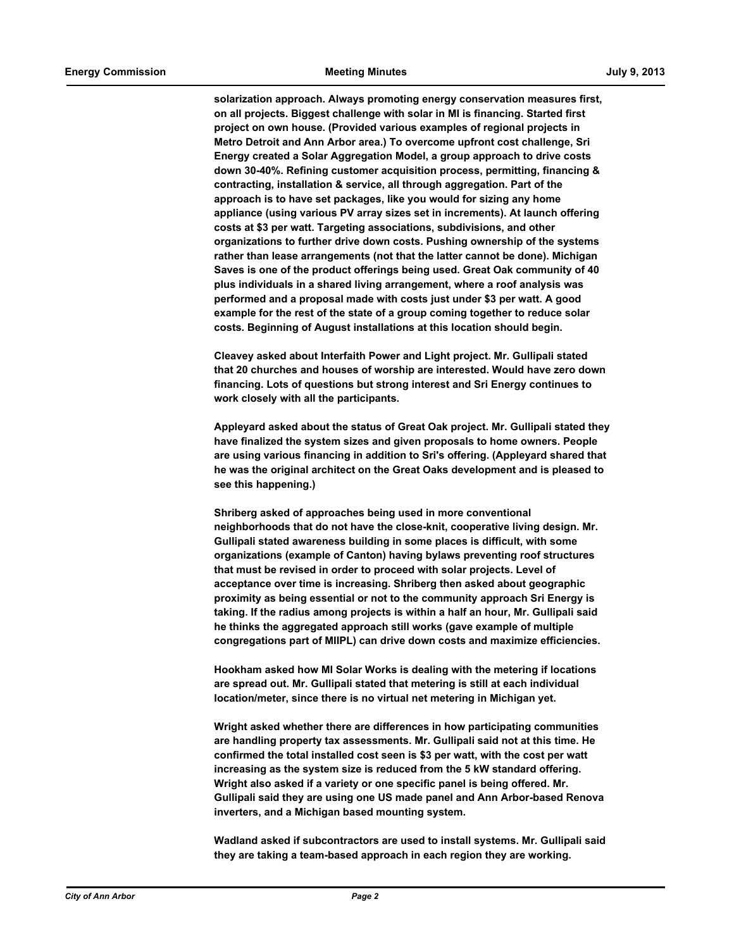**solarization approach. Always promoting energy conservation measures first, on all projects. Biggest challenge with solar in MI is financing. Started first project on own house. (Provided various examples of regional projects in Metro Detroit and Ann Arbor area.) To overcome upfront cost challenge, Sri Energy created a Solar Aggregation Model, a group approach to drive costs down 30-40%. Refining customer acquisition process, permitting, financing & contracting, installation & service, all through aggregation. Part of the approach is to have set packages, like you would for sizing any home appliance (using various PV array sizes set in increments). At launch offering costs at \$3 per watt. Targeting associations, subdivisions, and other organizations to further drive down costs. Pushing ownership of the systems rather than lease arrangements (not that the latter cannot be done). Michigan Saves is one of the product offerings being used. Great Oak community of 40 plus individuals in a shared living arrangement, where a roof analysis was performed and a proposal made with costs just under \$3 per watt. A good example for the rest of the state of a group coming together to reduce solar costs. Beginning of August installations at this location should begin.**

**Cleavey asked about Interfaith Power and Light project. Mr. Gullipali stated that 20 churches and houses of worship are interested. Would have zero down financing. Lots of questions but strong interest and Sri Energy continues to work closely with all the participants.**

**Appleyard asked about the status of Great Oak project. Mr. Gullipali stated they have finalized the system sizes and given proposals to home owners. People are using various financing in addition to Sri's offering. (Appleyard shared that he was the original architect on the Great Oaks development and is pleased to see this happening.)**

**Shriberg asked of approaches being used in more conventional neighborhoods that do not have the close-knit, cooperative living design. Mr. Gullipali stated awareness building in some places is difficult, with some organizations (example of Canton) having bylaws preventing roof structures that must be revised in order to proceed with solar projects. Level of acceptance over time is increasing. Shriberg then asked about geographic proximity as being essential or not to the community approach Sri Energy is taking. If the radius among projects is within a half an hour, Mr. Gullipali said he thinks the aggregated approach still works (gave example of multiple congregations part of MIIPL) can drive down costs and maximize efficiencies.** 

**Hookham asked how MI Solar Works is dealing with the metering if locations are spread out. Mr. Gullipali stated that metering is still at each individual location/meter, since there is no virtual net metering in Michigan yet.**

**Wright asked whether there are differences in how participating communities are handling property tax assessments. Mr. Gullipali said not at this time. He confirmed the total installed cost seen is \$3 per watt, with the cost per watt increasing as the system size is reduced from the 5 kW standard offering. Wright also asked if a variety or one specific panel is being offered. Mr. Gullipali said they are using one US made panel and Ann Arbor-based Renova inverters, and a Michigan based mounting system.**

**Wadland asked if subcontractors are used to install systems. Mr. Gullipali said they are taking a team-based approach in each region they are working.**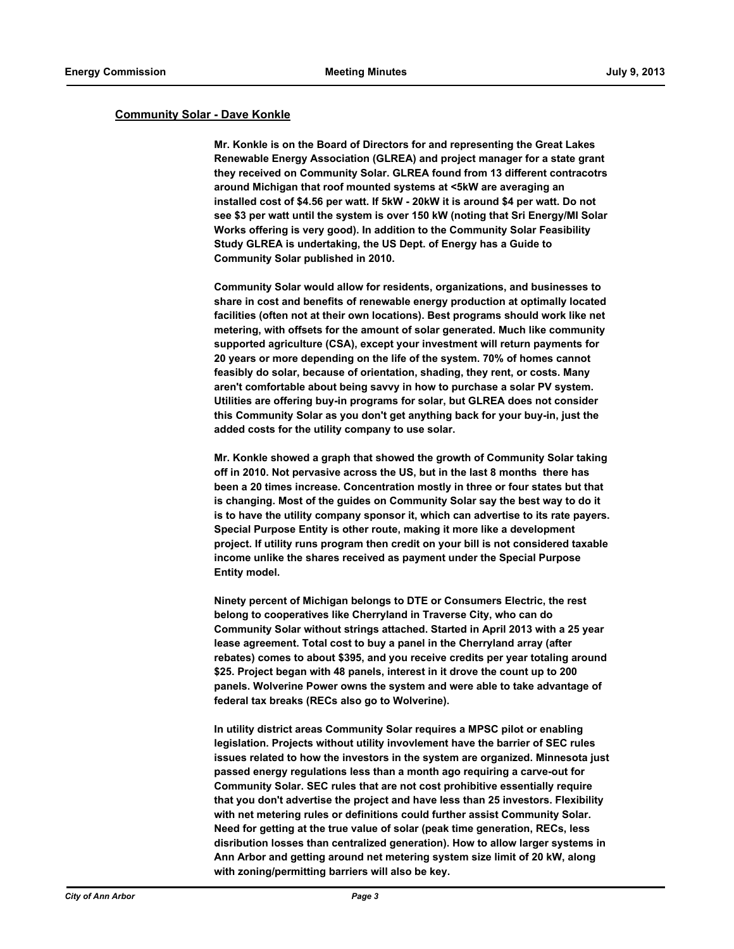#### **Community Solar - Dave Konkle**

**Mr. Konkle is on the Board of Directors for and representing the Great Lakes Renewable Energy Association (GLREA) and project manager for a state grant they received on Community Solar. GLREA found from 13 different contracotrs around Michigan that roof mounted systems at <5kW are averaging an installed cost of \$4.56 per watt. If 5kW - 20kW it is around \$4 per watt. Do not see \$3 per watt until the system is over 150 kW (noting that Sri Energy/MI Solar Works offering is very good). In addition to the Community Solar Feasibility Study GLREA is undertaking, the US Dept. of Energy has a Guide to Community Solar published in 2010.** 

**Community Solar would allow for residents, organizations, and businesses to share in cost and benefits of renewable energy production at optimally located facilities (often not at their own locations). Best programs should work like net metering, with offsets for the amount of solar generated. Much like community supported agriculture (CSA), except your investment will return payments for 20 years or more depending on the life of the system. 70% of homes cannot feasibly do solar, because of orientation, shading, they rent, or costs. Many aren't comfortable about being savvy in how to purchase a solar PV system. Utilities are offering buy-in programs for solar, but GLREA does not consider this Community Solar as you don't get anything back for your buy-in, just the added costs for the utility company to use solar.**

**Mr. Konkle showed a graph that showed the growth of Community Solar taking off in 2010. Not pervasive across the US, but in the last 8 months there has been a 20 times increase. Concentration mostly in three or four states but that is changing. Most of the guides on Community Solar say the best way to do it is to have the utility company sponsor it, which can advertise to its rate payers. Special Purpose Entity is other route, making it more like a development project. If utility runs program then credit on your bill is not considered taxable income unlike the shares received as payment under the Special Purpose Entity model.**

**Ninety percent of Michigan belongs to DTE or Consumers Electric, the rest belong to cooperatives like Cherryland in Traverse City, who can do Community Solar without strings attached. Started in April 2013 with a 25 year lease agreement. Total cost to buy a panel in the Cherryland array (after rebates) comes to about \$395, and you receive credits per year totaling around \$25. Project began with 48 panels, interest in it drove the count up to 200 panels. Wolverine Power owns the system and were able to take advantage of federal tax breaks (RECs also go to Wolverine).**

**In utility district areas Community Solar requires a MPSC pilot or enabling legislation. Projects without utility invovlement have the barrier of SEC rules issues related to how the investors in the system are organized. Minnesota just passed energy regulations less than a month ago requiring a carve-out for Community Solar. SEC rules that are not cost prohibitive essentially require that you don't advertise the project and have less than 25 investors. Flexibility with net metering rules or definitions could further assist Community Solar. Need for getting at the true value of solar (peak time generation, RECs, less disribution losses than centralized generation). How to allow larger systems in Ann Arbor and getting around net metering system size limit of 20 kW, along with zoning/permitting barriers will also be key.**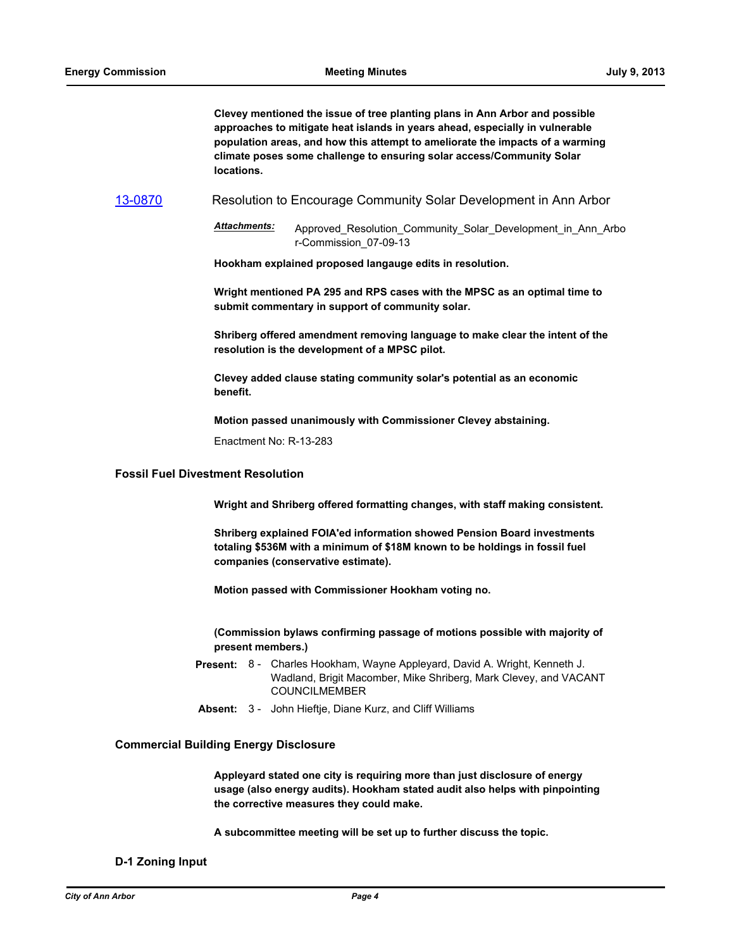**Clevey mentioned the issue of tree planting plans in Ann Arbor and possible approaches to mitigate heat islands in years ahead, especially in vulnerable population areas, and how this attempt to ameliorate the impacts of a warming climate poses some challenge to ensuring solar access/Community Solar locations.**

[13-0870](http://a2gov.legistar.com/gateway.aspx/matter.aspx?key=10872) Resolution to Encourage Community Solar Development in Ann Arbor

*Attachments:* Approved\_Resolution\_Community\_Solar\_Development\_in\_Ann\_Arbo r-Commission\_07-09-13

**Hookham explained proposed langauge edits in resolution.**

**Wright mentioned PA 295 and RPS cases with the MPSC as an optimal time to submit commentary in support of community solar.**

**Shriberg offered amendment removing language to make clear the intent of the resolution is the development of a MPSC pilot.** 

**Clevey added clause stating community solar's potential as an economic benefit.**

**Motion passed unanimously with Commissioner Clevey abstaining.**

Enactment No: R-13-283

## **Fossil Fuel Divestment Resolution**

**Wright and Shriberg offered formatting changes, with staff making consistent.**

**Shriberg explained FOIA'ed information showed Pension Board investments totaling \$536M with a minimum of \$18M known to be holdings in fossil fuel companies (conservative estimate).**

**Motion passed with Commissioner Hookham voting no.** 

**(Commission bylaws confirming passage of motions possible with majority of present members.)**

- Present: 8 Charles Hookham, Wayne Appleyard, David A. Wright, Kenneth J. Wadland, Brigit Macomber, Mike Shriberg, Mark Clevey, and VACANT COUNCILMEMBER
- **Absent:** 3 John Hieftje, Diane Kurz, and Cliff Williams

#### **Commercial Building Energy Disclosure**

**Appleyard stated one city is requiring more than just disclosure of energy usage (also energy audits). Hookham stated audit also helps with pinpointing the corrective measures they could make.** 

**A subcommittee meeting will be set up to further discuss the topic.**

#### **D-1 Zoning Input**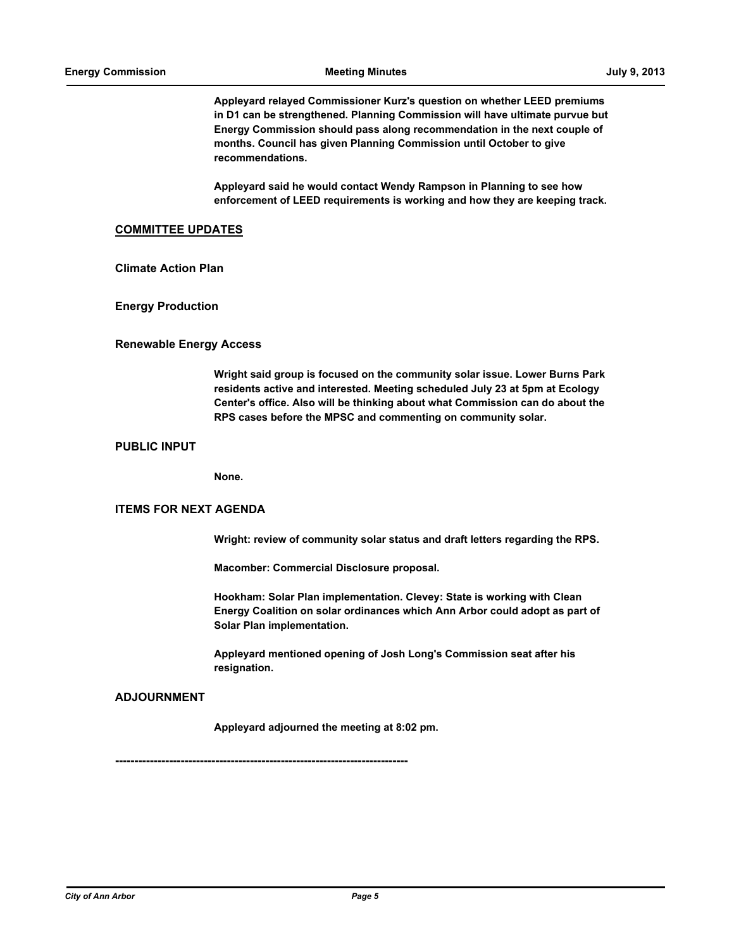**Appleyard relayed Commissioner Kurz's question on whether LEED premiums in D1 can be strengthened. Planning Commission will have ultimate purvue but Energy Commission should pass along recommendation in the next couple of months. Council has given Planning Commission until October to give recommendations.** 

**Appleyard said he would contact Wendy Rampson in Planning to see how enforcement of LEED requirements is working and how they are keeping track.**

#### **COMMITTEE UPDATES**

**Climate Action Plan**

**Energy Production**

#### **Renewable Energy Access**

**Wright said group is focused on the community solar issue. Lower Burns Park residents active and interested. Meeting scheduled July 23 at 5pm at Ecology Center's office. Also will be thinking about what Commission can do about the RPS cases before the MPSC and commenting on community solar.**

#### **PUBLIC INPUT**

**None.**

#### **ITEMS FOR NEXT AGENDA**

**Wright: review of community solar status and draft letters regarding the RPS.**

**Macomber: Commercial Disclosure proposal.**

**Hookham: Solar Plan implementation. Clevey: State is working with Clean Energy Coalition on solar ordinances which Ann Arbor could adopt as part of Solar Plan implementation.**

**Appleyard mentioned opening of Josh Long's Commission seat after his resignation.**

#### **ADJOURNMENT**

**Appleyard adjourned the meeting at 8:02 pm.**

**----------------------------------------------------------------------------**